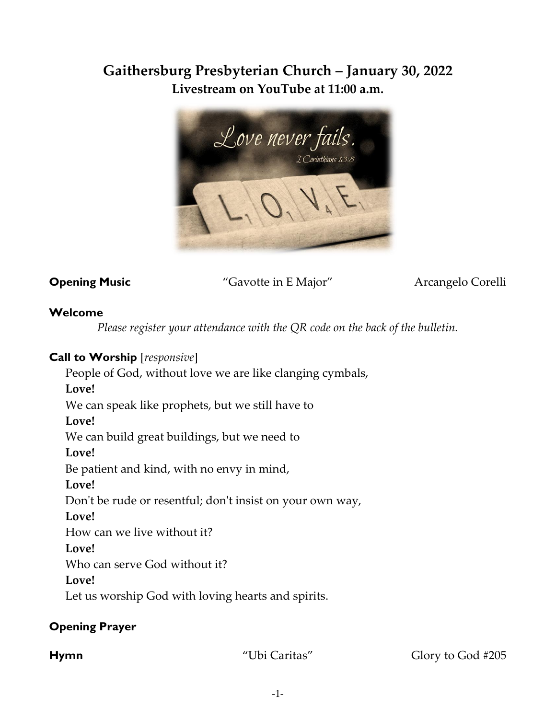# **Gaithersburg Presbyterian Church – January 30, 2022 Livestream on YouTube at 11:00 a.m.**



**Opening Music** "Gavotte in E Major" Arcangelo Corelli

#### **Welcome**

*Please register your attendance with the QR code on the back of the bulletin.*

### **Call to Worship** [*responsive*]

People of God, without love we are like clanging cymbals,

**Love!**

We can speak like prophets, but we still have to

#### **Love!**

We can build great buildings, but we need to

**Love!**

Be patient and kind, with no envy in mind,

**Love!**

Don't be rude or resentful; don't insist on your own way,

#### **Love!**

How can we live without it?

## **Love!**

Who can serve God without it?

**Love!**

Let us worship God with loving hearts and spirits.

## **Opening Prayer**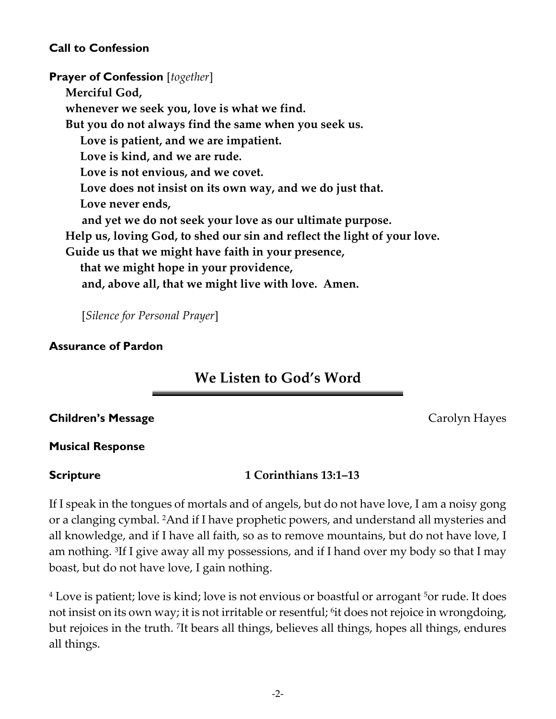#### **Call to Confession**

**Prayer of Confession** [*together*] **Merciful God, whenever we seek you, love is what we find. But you do not always find the same when you seek us. Love is patient, and we are impatient. Love is kind, and we are rude. Love is not envious, and we covet. Love does not insist on its own way, and we do just that. Love never ends, and yet we do not seek your love as our ultimate purpose. Help us, loving God, to shed our sin and reflect the light of your love. Guide us that we might have faith in your presence, that we might hope in your providence, and, above all, that we might live with love. Amen.** 

[*Silence for Personal Prayer*]

#### **Assurance of Pardon**

# **We Listen to God's Word**

#### **Children's Message Carolyn Hayes Carolyn Hayes**

#### **Musical Response**

#### **Scripture 1 Corinthians 13:1–13**

If I speak in the tongues of mortals and of angels, but do not have love, I am a noisy gong or a clanging cymbal. 2And if I have prophetic powers, and understand all mysteries and all knowledge, and if I have all faith, so as to remove mountains, but do not have love, I am nothing. <sup>3</sup> If I give away all my possessions, and if I hand over my body so that I may boast, but do not have love, I gain nothing.

<sup>4</sup> Love is patient; love is kind; love is not envious or boastful or arrogant <sup>5</sup> or rude. It does not insist on its own way; it is not irritable or resentful; <sup>6</sup> it does not rejoice in wrongdoing, but rejoices in the truth. <sup>7</sup> It bears all things, believes all things, hopes all things, endures all things.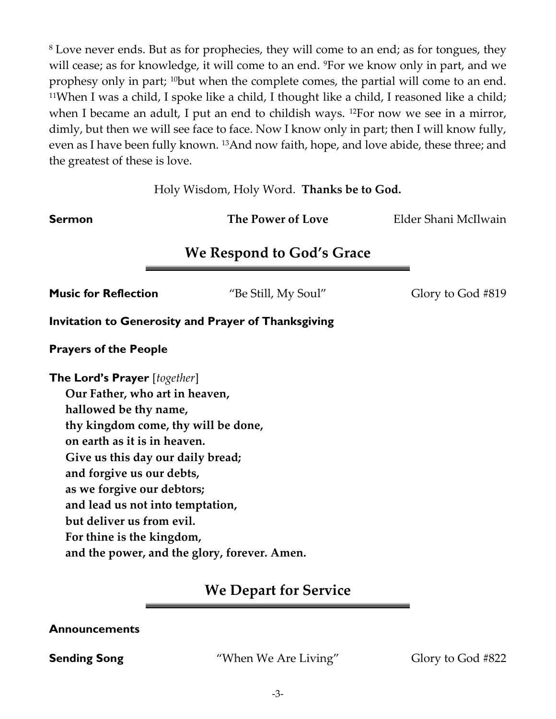<sup>8</sup> Love never ends. But as for prophecies, they will come to an end; as for tongues, they will cease; as for knowledge, it will come to an end. <sup>9</sup>For we know only in part, and we prophesy only in part; 10but when the complete comes, the partial will come to an end. <sup>11</sup>When I was a child, I spoke like a child, I thought like a child, I reasoned like a child; when I became an adult, I put an end to childish ways. <sup>12</sup>For now we see in a mirror, dimly, but then we will see face to face. Now I know only in part; then I will know fully, even as I have been fully known. 13And now faith, hope, and love abide, these three; and the greatest of these is love.

Holy Wisdom, Holy Word. **Thanks be to God.**

**Sermon** *The Power of Love**Elder Shani McIlwain* 

# **We Respond to God's Grace**

**Music for Reflection** "Be Still, My Soul" Glory to God #819

**Invitation to Generosity and Prayer of Thanksgiving**

**Prayers of the People** 

**The Lord's Prayer** [*together*]

**Our Father, who art in heaven,** 

**hallowed be thy name,** 

**thy kingdom come, thy will be done,** 

**on earth as it is in heaven.** 

**Give us this day our daily bread;** 

- **and forgive us our debts,**
- **as we forgive our debtors;**

**and lead us not into temptation,** 

- **but deliver us from evil.**
- **For thine is the kingdom,**

**and the power, and the glory, forever. Amen.**

## **We Depart for Service**

#### **Announcements**

**Sending Song** "When We Are Living" Glory to God #822